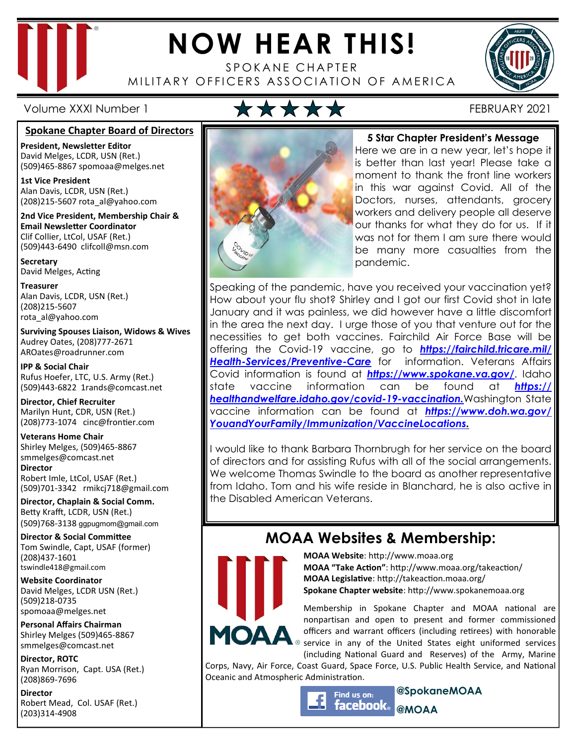

# **NOW HEAR THIS!**

SPOKANE CHAPTER MILITARY OFFICERS ASSOCIATION OF AMERICA



Volume XXXI Number 1 FEBRUARY 2021

#### **Spokane Chapter Board of Directors**

**President, Newsletter Editor**  David Melges, LCDR, USN (Ret.) (509)465-8867 spomoaa@melges.net

**1st Vice President**  Alan Davis, LCDR, USN (Ret.) (208)215-5607 rota\_al@yahoo.com

**2nd Vice President, Membership Chair & Email Newsletter Coordinator** Clif Collier, LtCol, USAF (Ret.) (509)443-6490 clifcoll@msn.com

**Secretary**  David Melges, Acting

**Treasurer**  Alan Davis, LCDR, USN (Ret.) (208)215-5607 rota\_al@yahoo.com

**Surviving Spouses Liaison, Widows & Wives**  Audrey Oates, (208)777-2671 AROates@roadrunner.com

**IPP & Social Chair**  Rufus Hoefer, LTC, U.S. Army (Ret.) (509)443-6822 1rands@comcast.net

**Director, Chief Recruiter**  Marilyn Hunt, CDR, USN (Ret.) (208)773-1074 cinc@frontier.com

**Veterans Home Chair**  Shirley Melges, (509)465-8867 smmelges@comcast.net **Director**  Robert Imle, LtCol, USAF (Ret.) (509)701-3342 rmikcj718@gmail.com

**Director, Chaplain & Social Comm.** Betty Krafft, LCDR, USN (Ret.) (509)768-3138 ggpugmom@gmail.com

**Director & Social Committee** Tom Swindle, Capt, USAF (former) (208)437-1601 tswindle418@gmail.com

**Website Coordinator**  David Melges, LCDR USN (Ret.) (509)218-0735 spomoaa@melges.net

**Personal Affairs Chairman**  Shirley Melges (509)465-8867 smmelges@comcast.net

**Director, ROTC**  Ryan Morrison, Capt. USA (Ret.) (208)869-7696

**Director**  Robert Mead, Col. USAF (Ret.) (203)314-4908



## **5 Star Chapter President's Message**

Here we are in a new year, let's hope it is better than last year! Please take a moment to thank the front line workers in this war against Covid. All of the Doctors, nurses, attendants, grocery workers and delivery people all deserve our thanks for what they do for us. If it was not for them I am sure there would be many more casualties from the pandemic.

Speaking of the pandemic, have you received your vaccination yet? How about your flu shot? Shirley and I got our first Covid shot in late January and it was painless, we did however have a little discomfort in the area the next day. I urge those of you that venture out for the necessities to get both vaccines. Fairchild Air Force Base will be offering the Covid-19 vaccine, go to *https://fairchild.tricare.mil/ Health-Services/Preventive-Care* for information. Veterans Affairs Covid information is found at *https://www.spokane.va.gov/*. Idaho state vaccine information can be found at *https:// healthandwelfare.idaho.gov/covid-19-vaccination.*Washington State vaccine information can be found at *https://www.doh.wa.gov/ YouandYourFamily/Immunization/VaccineLocations.* 

I would like to thank Barbara Thornbrugh for her service on the board of directors and for assisting Rufus with all of the social arrangements. We welcome Thomas Swindle to the board as another representative from Idaho. Tom and his wife reside in Blanchard, he is also active in the Disabled American Veterans.

## **MOAA Websites & Membership:**



**MOAA Website: http://www.moaa.org MOAA "Take Action"**: http://www.moaa.org/takeaction/ **MOAA Legislative**: http://takeaction.moaa.org/ **Spokane Chapter website**: http://www.spokanemoaa.org

Membership in Spokane Chapter and MOAA national are nonpartisan and open to present and former commissioned officers and warrant officers (including retirees) with honorable  $\sqrt{8}$  service in any of the United States eight uniformed services (including National Guard and Reserves) of the Army, Marine

Corps, Navy, Air Force, Coast Guard, Space Force, U.S. Public Health Service, and National Oceanic and Atmospheric Administration.

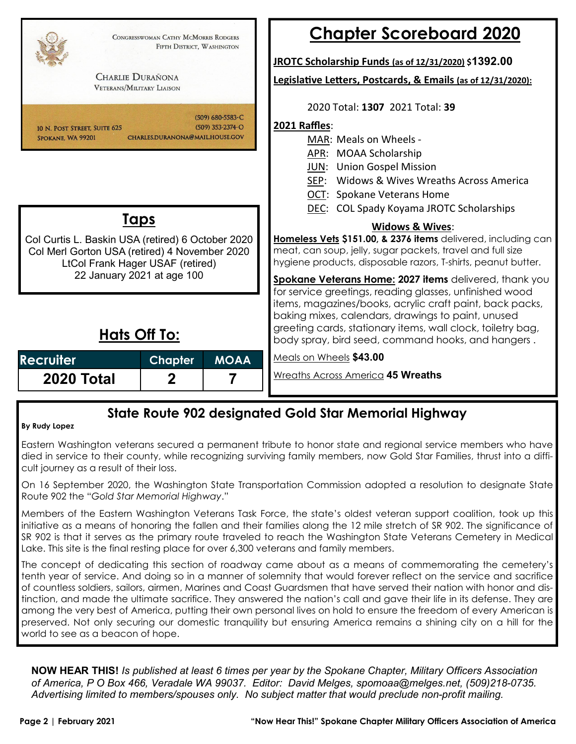

## **State Route 902 designated Gold Star Memorial Highway**

#### **By Rudy Lopez**

Eastern Washington veterans secured a permanent tribute to honor state and regional service members who have died in service to their county, while recognizing surviving family members, now Gold Star Families, thrust into a difficult journey as a result of their loss.

On 16 September 2020, the Washington State Transportation Commission adopted a resolution to designate State Route 902 the "*Gold Star Memorial Highway*."

Members of the Eastern Washington Veterans Task Force, the state's oldest veteran support coalition, took up this initiative as a means of honoring the fallen and their families along the 12 mile stretch of SR 902. The significance of SR 902 is that it serves as the primary route traveled to reach the Washington State Veterans Cemetery in Medical Lake. This site is the final resting place for over 6,300 veterans and family members.

The concept of dedicating this section of roadway came about as a means of commemorating the cemetery's tenth year of service. And doing so in a manner of solemnity that would forever reflect on the service and sacrifice of countless soldiers, sailors, airmen, Marines and Coast Guardsmen that have served their nation with honor and distinction, and made the ultimate sacrifice. They answered the nation's call and gave their life in its defense. They are among the very best of America, putting their own personal lives on hold to ensure the freedom of every American is preserved. Not only securing our domestic tranquility but ensuring America remains a shining city on a hill for the world to see as a beacon of hope.

**NOW HEAR THIS!** *Is published at least 6 times per year by the Spokane Chapter, Military Officers Association of America, P O Box 466, Veradale WA 99037. Editor: David Melges, spomoaa@melges.net, (509)218-0735. Advertising limited to members/spouses only. No subject matter that would preclude non-profit mailing.*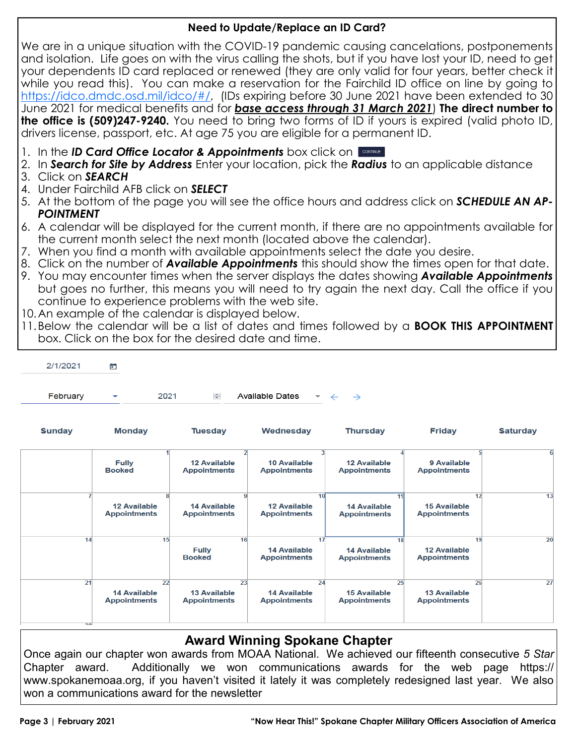## **Need to Update/Replace an ID Card?**

We are in a unique situation with the COVID-19 pandemic causing cancelations, postponements and isolation. Life goes on with the virus calling the shots, but if you have lost your ID, need to get your dependents ID card replaced or renewed (they are only valid for four years, better check it while you read this). You can make a reservation for the Fairchild ID office on line by going to https://idco.dmdc.osd.mil/idco/#/, (IDs expiring before 30 June 2021 have been extended to 30 June 2021 for medical benefits and for *base access through 31 March 2021*) **The direct number to the office is (509)247-9240.** You need to bring two forms of ID if yours is expired (valid photo ID, drivers license, passport, etc. At age 75 you are eligible for a permanent ID.

- 1. In the *ID Card Office Locator & Appointments* box click on
- 2. In *Search for Site by Address* Enter your location, pick the *Radius* to an applicable distance
- 3. Click on *SEARCH*
- 4. Under Fairchild AFB click on *SELECT*
- 5. At the bottom of the page you will see the office hours and address click on *SCHEDULE AN AP-POINTMENT*
- 6. A calendar will be displayed for the current month, if there are no appointments available for the current month select the next month (located above the calendar).
- 7. When you find a month with available appointments select the date you desire.
- 8. Click on the number of *Available Appointments* this should show the times open for that date.
- 9. You may encounter times when the server displays the dates showing *Available Appointments* but goes no further, this means you will need to try again the next day. Call the office if you continue to experience problems with the web site.
- 10. An example of the calendar is displayed below.
- 11. Below the calendar will be a list of dates and times followed by a **BOOK THIS APPOINTMENT**  box. Click on the box for the desired date and time.

| 2/1/2021 | m            |      |               |                                                          |  |  |  |  |
|----------|--------------|------|---------------|----------------------------------------------------------|--|--|--|--|
| February | $\mathbf{v}$ | 2021 | $\Rightarrow$ | Available Dates $\rightarrow$ $\leftarrow$ $\rightarrow$ |  |  |  |  |

| <b>Sunday</b> | <b>Monday</b>                                    | <b>Tuesday</b>                                   | Wednesday                                                     | <b>Thursday</b>                                  | <b>Friday</b>                              | <b>Saturday</b> |
|---------------|--------------------------------------------------|--------------------------------------------------|---------------------------------------------------------------|--------------------------------------------------|--------------------------------------------|-----------------|
|               | <b>Fully</b><br><b>Booked</b>                    | <b>12 Available</b><br><b>Appointments</b>       | <b>10 Available</b><br><b>Appointments</b>                    | <b>12 Available</b><br><b>Appointments</b>       | 9 Available<br><b>Appointments</b>         |                 |
|               | <b>12 Available</b><br><b>Appointments</b>       | <b>14 Available</b><br><b>Appointments</b>       | 10 <sup>1</sup><br><b>12 Available</b><br><b>Appointments</b> | 11<br><b>14 Available</b><br><b>Appointments</b> | <b>15 Available</b><br><b>Appointments</b> | 13<br>12        |
| 14            | 15                                               | 16<br><b>Fully</b><br><b>Booked</b>              | 17<br><b>14 Available</b><br><b>Appointments</b>              | 18<br><b>14 Available</b><br><b>Appointments</b> | <b>12 Available</b><br><b>Appointments</b> | 20<br>19        |
| 21<br>രി      | 22<br><b>14 Available</b><br><b>Appointments</b> | 23<br><b>13 Available</b><br><b>Appointments</b> | 24<br><b>14 Available</b><br><b>Appointments</b>              | 25<br><b>15 Available</b><br><b>Appointments</b> | <b>13 Available</b><br><b>Appointments</b> | 27<br>26        |

## **Award Winning Spokane Chapter**

Once again our chapter won awards from MOAA National. We achieved our fifteenth consecutive *5 Star*  Chapter award. Additionally we won communications awards for the web page https:// www.spokanemoaa.org, if you haven't visited it lately it was completely redesigned last year. We also won a communications award for the newsletter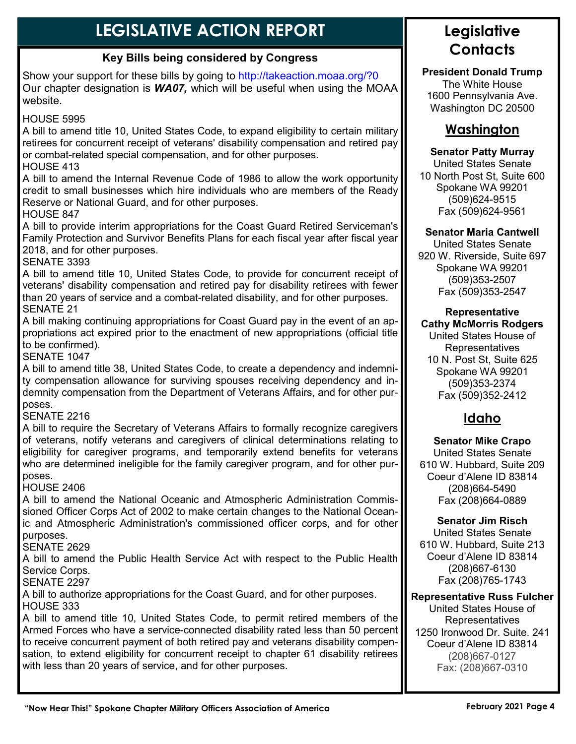## **LEGISLATIVE ACTION REPORT**

## **Key Bills being considered by Congress**

Show your support for these bills by going to http://takeaction.moaa.org/?0 Our chapter designation is *WA07,* which will be useful when using the MOAA website.

## HOUSE 5995

A bill to amend title 10, United States Code, to expand eligibility to certain military retirees for concurrent receipt of veterans' disability compensation and retired pay or combat-related special compensation, and for other purposes.

## HOUSE 413

A bill to amend the Internal Revenue Code of 1986 to allow the work opportunity credit to small businesses which hire individuals who are members of the Ready Reserve or National Guard, and for other purposes.

HOUSE 847

A bill to provide interim appropriations for the Coast Guard Retired Serviceman's Family Protection and Survivor Benefits Plans for each fiscal year after fiscal year 2018, and for other purposes.

SENATE 3393

A bill to amend title 10, United States Code, to provide for concurrent receipt of veterans' disability compensation and retired pay for disability retirees with fewer than 20 years of service and a combat-related disability, and for other purposes. SENATE 21

A bill making continuing appropriations for Coast Guard pay in the event of an appropriations act expired prior to the enactment of new appropriations (official title to be confirmed).

SENATE 1047

A bill to amend title 38, United States Code, to create a dependency and indemnity compensation allowance for surviving spouses receiving dependency and indemnity compensation from the Department of Veterans Affairs, and for other purposes.

## SENATE 2216

A bill to require the Secretary of Veterans Affairs to formally recognize caregivers of veterans, notify veterans and caregivers of clinical determinations relating to eligibility for caregiver programs, and temporarily extend benefits for veterans who are determined ineligible for the family caregiver program, and for other purposes.

## HOUSE 2406

A bill to amend the National Oceanic and Atmospheric Administration Commissioned Officer Corps Act of 2002 to make certain changes to the National Oceanic and Atmospheric Administration's commissioned officer corps, and for other purposes.

## SENATE 2629

A bill to amend the Public Health Service Act with respect to the Public Health Service Corps.

SENATE 2297

A bill to authorize appropriations for the Coast Guard, and for other purposes. HOUSE 333

A bill to amend title 10, United States Code, to permit retired members of the Armed Forces who have a service-connected disability rated less than 50 percent to receive concurrent payment of both retired pay and veterans disability compensation, to extend eligibility for concurrent receipt to chapter 61 disability retirees with less than 20 years of service, and for other purposes.

## **Legislative Contacts**

**President Donald Trump**  The White House 1600 Pennsylvania Ave. Washington DC 20500

## **Washington**

#### **Senator Patty Murray**

United States Senate 10 North Post St, Suite 600 Spokane WA 99201 (509)624-9515 Fax (509)624-9561

#### **Senator Maria Cantwell**

United States Senate 920 W. Riverside, Suite 697 Spokane WA 99201 (509)353-2507 Fax (509)353-2547

#### **Representative Cathy McMorris Rodgers**

United States House of Representatives 10 N. Post St, Suite 625 Spokane WA 99201 (509)353-2374 Fax (509)352-2412

## **Idaho**

#### **Senator Mike Crapo** United States Senate 610 W. Hubbard, Suite 209 Coeur d'Alene ID 83814 (208)664-5490 Fax (208)664-0889

#### **Senator Jim Risch**

United States Senate 610 W. Hubbard, Suite 213 Coeur d'Alene ID 83814 (208)667-6130 Fax (208)765-1743

#### **Representative Russ Fulcher**

United States House of **Representatives** 1250 Ironwood Dr. Suite. 241 Coeur d'Alene ID 83814 (208)667-0127 Fax: (208)667-0310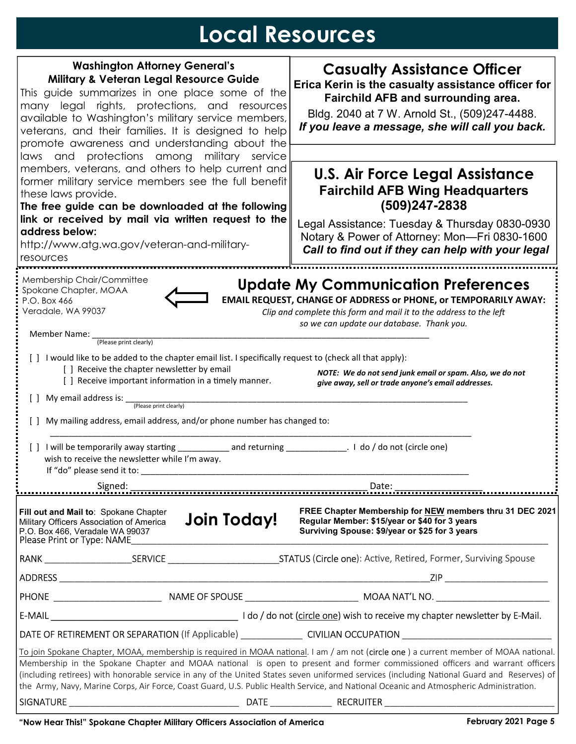## **Local Resources**

| <b>Washington Attorney General's</b>                                                                                                                                                                                                                                                                                               |             | <b>Casualty Assistance Officer</b>                                                                                                                                                                                                                                                                                                                                                                                    |  |  |  |  |  |
|------------------------------------------------------------------------------------------------------------------------------------------------------------------------------------------------------------------------------------------------------------------------------------------------------------------------------------|-------------|-----------------------------------------------------------------------------------------------------------------------------------------------------------------------------------------------------------------------------------------------------------------------------------------------------------------------------------------------------------------------------------------------------------------------|--|--|--|--|--|
| <b>Military &amp; Veteran Legal Resource Guide</b>                                                                                                                                                                                                                                                                                 |             | Erica Kerin is the casualty assistance officer for                                                                                                                                                                                                                                                                                                                                                                    |  |  |  |  |  |
| This guide summarizes in one place some of the                                                                                                                                                                                                                                                                                     |             | Fairchild AFB and surrounding area.                                                                                                                                                                                                                                                                                                                                                                                   |  |  |  |  |  |
| many legal rights, protections, and resources<br>available to Washington's military service members,                                                                                                                                                                                                                               |             | Bldg. 2040 at 7 W. Arnold St., (509)247-4488.                                                                                                                                                                                                                                                                                                                                                                         |  |  |  |  |  |
| veterans, and their families. It is designed to help                                                                                                                                                                                                                                                                               |             | If you leave a message, she will call you back.                                                                                                                                                                                                                                                                                                                                                                       |  |  |  |  |  |
| promote awareness and understanding about the                                                                                                                                                                                                                                                                                      |             |                                                                                                                                                                                                                                                                                                                                                                                                                       |  |  |  |  |  |
| laws and protections among military service                                                                                                                                                                                                                                                                                        |             |                                                                                                                                                                                                                                                                                                                                                                                                                       |  |  |  |  |  |
| members, veterans, and others to help current and                                                                                                                                                                                                                                                                                  |             | <b>U.S. Air Force Legal Assistance</b>                                                                                                                                                                                                                                                                                                                                                                                |  |  |  |  |  |
| former military service members see the full benefit<br>these laws provide.                                                                                                                                                                                                                                                        |             | <b>Fairchild AFB Wing Headquarters</b><br>$(509)247 - 2838$<br>Legal Assistance: Tuesday & Thursday 0830-0930<br>Notary & Power of Attorney: Mon-Fri 0830-1600                                                                                                                                                                                                                                                        |  |  |  |  |  |
| The free guide can be downloaded at the following                                                                                                                                                                                                                                                                                  |             |                                                                                                                                                                                                                                                                                                                                                                                                                       |  |  |  |  |  |
| link or received by mail via written request to the                                                                                                                                                                                                                                                                                |             |                                                                                                                                                                                                                                                                                                                                                                                                                       |  |  |  |  |  |
| address below:                                                                                                                                                                                                                                                                                                                     |             |                                                                                                                                                                                                                                                                                                                                                                                                                       |  |  |  |  |  |
| http://www.atg.wa.gov/veteran-and-military-                                                                                                                                                                                                                                                                                        |             | Call to find out if they can help with your legal                                                                                                                                                                                                                                                                                                                                                                     |  |  |  |  |  |
| resources                                                                                                                                                                                                                                                                                                                          |             |                                                                                                                                                                                                                                                                                                                                                                                                                       |  |  |  |  |  |
| Membership Chair/Committee<br>Spokane Chapter, MOAA<br>P.O. Box 466<br>Veradale, WA 99037                                                                                                                                                                                                                                          |             | <b>Update My Communication Preferences</b><br>EMAIL REQUEST, CHANGE OF ADDRESS or PHONE, or TEMPORARILY AWAY:<br>Clip and complete this form and mail it to the address to the left                                                                                                                                                                                                                                   |  |  |  |  |  |
|                                                                                                                                                                                                                                                                                                                                    |             | so we can update our database. Thank you.                                                                                                                                                                                                                                                                                                                                                                             |  |  |  |  |  |
| Member Name:<br>(Please print clearly)                                                                                                                                                                                                                                                                                             |             |                                                                                                                                                                                                                                                                                                                                                                                                                       |  |  |  |  |  |
| [ ] I would like to be added to the chapter email list. I specifically request to (check all that apply):<br>[] Receive the chapter newsletter by email<br>NOTE: We do not send junk email or spam. Also, we do not<br>[ ] Receive important information in a timely manner.<br>give away, sell or trade anyone's email addresses. |             |                                                                                                                                                                                                                                                                                                                                                                                                                       |  |  |  |  |  |
| My email address is: _<br>(Please print clearly)                                                                                                                                                                                                                                                                                   |             |                                                                                                                                                                                                                                                                                                                                                                                                                       |  |  |  |  |  |
| My mailing address, email address, and/or phone number has changed to:                                                                                                                                                                                                                                                             |             |                                                                                                                                                                                                                                                                                                                                                                                                                       |  |  |  |  |  |
| wish to receive the newsletter while I'm away.<br>If "do" please send it to:                                                                                                                                                                                                                                                       |             |                                                                                                                                                                                                                                                                                                                                                                                                                       |  |  |  |  |  |
| Signed:                                                                                                                                                                                                                                                                                                                            |             |                                                                                                                                                                                                                                                                                                                                                                                                                       |  |  |  |  |  |
| Fill out and Mail to: Spokane Chapter<br>Military Officers Association of America<br>P.O. Box 466, Veradale WA 99037<br>Please Print or Type: NAME                                                                                                                                                                                 | Join Today! | FREE Chapter Membership for NEW members thru 31 DEC 2021<br>Regular Member: \$15/year or \$40 for 3 years<br>Surviving Spouse: \$9/year or \$25 for 3 years                                                                                                                                                                                                                                                           |  |  |  |  |  |
|                                                                                                                                                                                                                                                                                                                                    |             |                                                                                                                                                                                                                                                                                                                                                                                                                       |  |  |  |  |  |
|                                                                                                                                                                                                                                                                                                                                    |             |                                                                                                                                                                                                                                                                                                                                                                                                                       |  |  |  |  |  |
|                                                                                                                                                                                                                                                                                                                                    |             |                                                                                                                                                                                                                                                                                                                                                                                                                       |  |  |  |  |  |
|                                                                                                                                                                                                                                                                                                                                    |             |                                                                                                                                                                                                                                                                                                                                                                                                                       |  |  |  |  |  |
|                                                                                                                                                                                                                                                                                                                                    |             |                                                                                                                                                                                                                                                                                                                                                                                                                       |  |  |  |  |  |
|                                                                                                                                                                                                                                                                                                                                    |             | To join Spokane Chapter, MOAA, membership is required in MOAA national. I am / am not (circle one) a current member of MOAA national.                                                                                                                                                                                                                                                                                 |  |  |  |  |  |
|                                                                                                                                                                                                                                                                                                                                    |             | Membership in the Spokane Chapter and MOAA national is open to present and former commissioned officers and warrant officers<br>(including retirees) with honorable service in any of the United States seven uniformed services (including National Guard and Reserves) of<br>the Army, Navy, Marine Corps, Air Force, Coast Guard, U.S. Public Health Service, and National Oceanic and Atmospheric Administration. |  |  |  |  |  |
|                                                                                                                                                                                                                                                                                                                                    |             |                                                                                                                                                                                                                                                                                                                                                                                                                       |  |  |  |  |  |